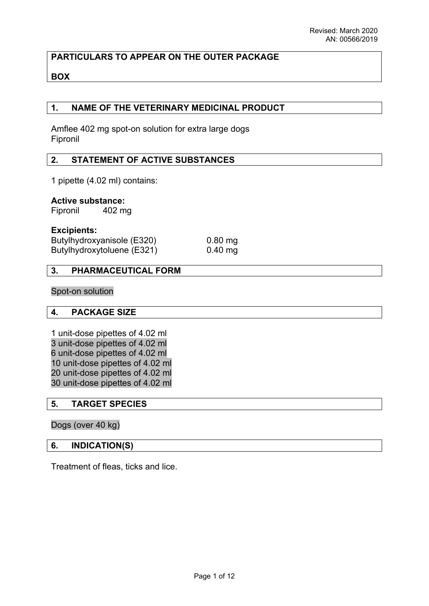## **PARTICULARS TO APPEAR ON THE OUTER PACKAGE**

#### **BOX**

#### **1. NAME OF THE VETERINARY MEDICINAL PRODUCT**

Amflee 402 mg spot-on solution for extra large dogs Fipronil

#### **2. STATEMENT OF ACTIVE SUBSTANCES**

1 pipette (4.02 ml) contains:

#### **Active substance:**

Fipronil 402 mg

#### **Excipients:**

| Butylhydroxyanisole (E320) |  |
|----------------------------|--|
| Butylhydroxytoluene (E321) |  |

 $0.80$  mg  $0.40$  mg

#### **3. PHARMACEUTICAL FORM**

#### Spot-on solution

#### **4. PACKAGE SIZE**

1 unit-dose pipettes of 4.02 ml 3 unit-dose pipettes of 4.02 ml 6 unit-dose pipettes of 4.02 ml 10 unit-dose pipettes of 4.02 ml 20 unit-dose pipettes of 4.02 ml 30 unit-dose pipettes of 4.02 ml

#### **5. TARGET SPECIES**

#### Dogs (over 40 kg)

#### **6. INDICATION(S)**

Treatment of fleas, ticks and lice.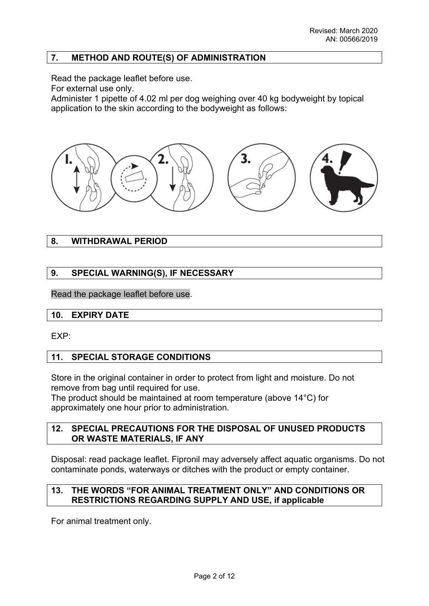## **7. METHOD AND ROUTE(S) OF ADMINISTRATION**

Read the package leaflet before use.

For external use only.

Administer 1 pipette of 4.02 ml per dog weighing over 40 kg bodyweight by topical application to the skin according to the bodyweight as follows:



## **8. WITHDRAWAL PERIOD**

## **9. SPECIAL WARNING(S), IF NECESSARY**

Read the package leaflet before use.

## **10. EXPIRY DATE**

EXP:

## **11. SPECIAL STORAGE CONDITIONS**

Store in the original container in order to protect from light and moisture. Do not remove from bag until required for use.

The product should be maintained at room temperature (above 14°C) for approximately one hour prior to administration.

#### **12. SPECIAL PRECAUTIONS FOR THE DISPOSAL OF UNUSED PRODUCTS OR WASTE MATERIALS, IF ANY**

Disposal: read package leaflet. Fipronil may adversely affect aquatic organisms. Do not contaminate ponds, waterways or ditches with the product or empty container.

## **13. THE WORDS "FOR ANIMAL TREATMENT ONLY" AND CONDITIONS OR RESTRICTIONS REGARDING SUPPLY AND USE, if applicable**

For animal treatment only.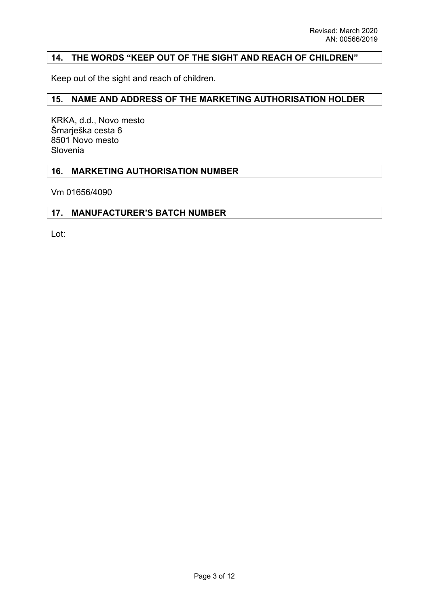## **14. THE WORDS "KEEP OUT OF THE SIGHT AND REACH OF CHILDREN"**

Keep out of the sight and reach of children.

#### **15. NAME AND ADDRESS OF THE MARKETING AUTHORISATION HOLDER**

KRKA, d.d., Novo mesto Šmarješka cesta 6 8501 Novo mesto Slovenia

#### **16. MARKETING AUTHORISATION NUMBER**

Vm 01656/4090

#### **17. MANUFACTURER'S BATCH NUMBER**

Lot: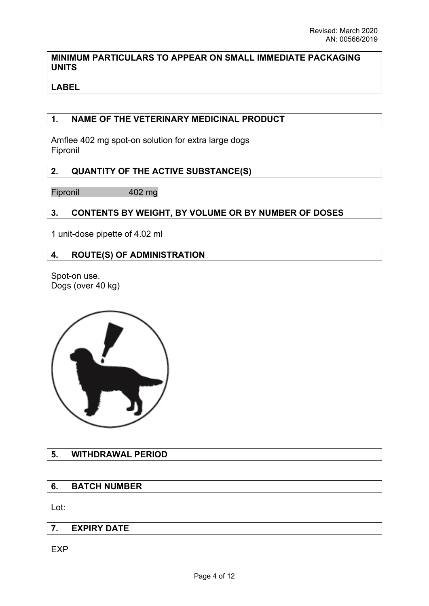## **MINIMUM PARTICULARS TO APPEAR ON SMALL IMMEDIATE PACKAGING UNITS**

# **LABEL**

## **1. NAME OF THE VETERINARY MEDICINAL PRODUCT**

Amflee 402 mg spot-on solution for extra large dogs Fipronil

# **2. QUANTITY OF THE ACTIVE SUBSTANCE(S)**

Fipronil 402 mg

# **3. CONTENTS BY WEIGHT, BY VOLUME OR BY NUMBER OF DOSES**

1 unit-dose pipette of 4.02 ml

## **4. ROUTE(S) OF ADMINISTRATION**

Spot-on use. Dogs (over 40 kg)



# **5. WITHDRAWAL PERIOD**

# **6. BATCH NUMBER**

Lot:

## **7. EXPIRY DATE**

**EXP**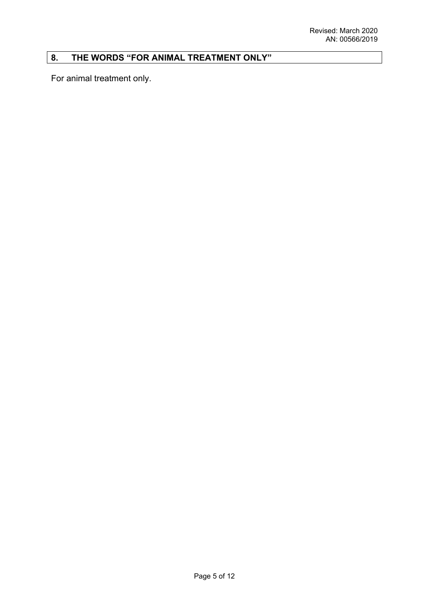# **8. THE WORDS "FOR ANIMAL TREATMENT ONLY"**

For animal treatment only.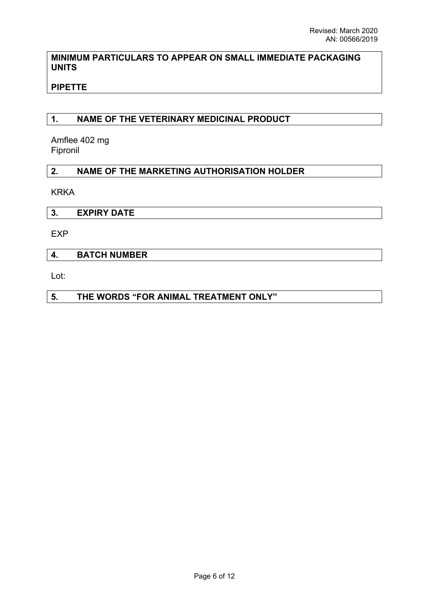## **MINIMUM PARTICULARS TO APPEAR ON SMALL IMMEDIATE PACKAGING UNITS**

# **PIPETTE**

## **1. NAME OF THE VETERINARY MEDICINAL PRODUCT**

Amflee 402 mg Fipronil

## **2. NAME OF THE MARKETING AUTHORISATION HOLDER**

KRKA

| $\cdots$<br><br>--- |
|---------------------|
|---------------------|

EXP

#### **4. BATCH NUMBER**

Lot:

## **5. THE WORDS "FOR ANIMAL TREATMENT ONLY"**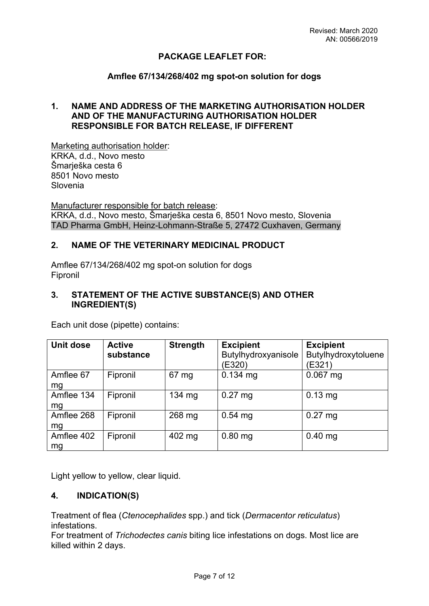## **PACKAGE LEAFLET FOR:**

#### **Amflee 67/134/268/402 mg spot-on solution for dogs**

## **1. NAME AND ADDRESS OF THE MARKETING AUTHORISATION HOLDER AND OF THE MANUFACTURING AUTHORISATION HOLDER RESPONSIBLE FOR BATCH RELEASE, IF DIFFERENT**

Marketing authorisation holder: KRKA, d.d., Novo mesto Šmarješka cesta 6 8501 Novo mesto Slovenia

Manufacturer responsible for batch release: KRKA, d.d., Novo mesto, Šmarješka cesta 6, 8501 Novo mesto, Slovenia TAD Pharma GmbH, Heinz-Lohmann-Straße 5, 27472 Cuxhaven, Germany

#### **2. NAME OF THE VETERINARY MEDICINAL PRODUCT**

Amflee 67/134/268/402 mg spot-on solution for dogs Fipronil

#### **3. STATEMENT OF THE ACTIVE SUBSTANCE(S) AND OTHER INGREDIENT(S)**

| Unit dose        | <b>Active</b><br>substance | <b>Strength</b> | <b>Excipient</b><br>Butylhydroxyanisole<br>(E320) | <b>Excipient</b><br>Butylhydroxytoluene<br>(E321) |
|------------------|----------------------------|-----------------|---------------------------------------------------|---------------------------------------------------|
| Amflee 67<br>mg  | Fipronil                   | 67 mg           | $0.134$ mg                                        | $0.067$ mg                                        |
| Amflee 134<br>mg | Fipronil                   | 134 $mg$        | $0.27$ mg                                         | $0.13$ mg                                         |
| Amflee 268<br>mg | Fipronil                   | 268 mg          | $0.54$ mg                                         | $0.27$ mg                                         |
| Amflee 402<br>mg | Fipronil                   | 402 mg          | $0.80$ mg                                         | $0.40$ mg                                         |

Each unit dose (pipette) contains:

Light yellow to yellow, clear liquid.

## **4. INDICATION(S)**

Treatment of flea (*Ctenocephalides* spp.) and tick (*Dermacentor reticulatus*) infestations.

For treatment of *Trichodectes canis* biting lice infestations on dogs. Most lice are killed within 2 days.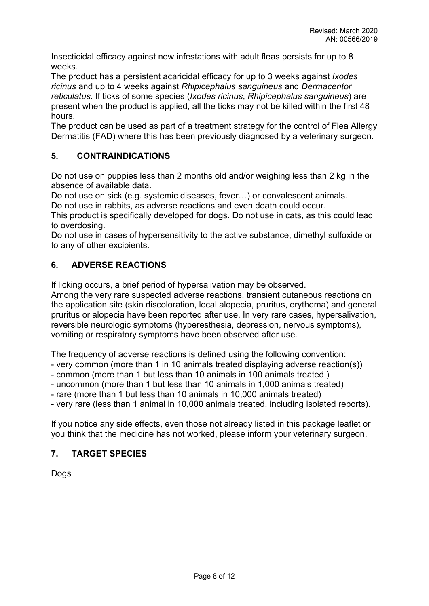Insecticidal efficacy against new infestations with adult fleas persists for up to 8 weeks.

The product has a persistent acaricidal efficacy for up to 3 weeks against *Ixodes ricinus* and up to 4 weeks against *Rhipicephalus sanguineus* and *Dermacentor reticulatus*. If ticks of some species (*Ixodes ricinus*, *Rhipicephalus sanguineus*) are present when the product is applied, all the ticks may not be killed within the first 48 hours.

The product can be used as part of a treatment strategy for the control of Flea Allergy Dermatitis (FAD) where this has been previously diagnosed by a veterinary surgeon.

## **5. CONTRAINDICATIONS**

Do not use on puppies less than 2 months old and/or weighing less than 2 kg in the absence of available data.

Do not use on sick (e.g. systemic diseases, fever…) or convalescent animals.

Do not use in rabbits, as adverse reactions and even death could occur.

This product is specifically developed for dogs. Do not use in cats, as this could lead to overdosing.

Do not use in cases of hypersensitivity to the active substance, dimethyl sulfoxide or to any of other excipients.

# **6. ADVERSE REACTIONS**

If licking occurs, a brief period of hypersalivation may be observed.

Among the very rare suspected adverse reactions, transient cutaneous reactions on the application site (skin discoloration, local alopecia, pruritus, erythema) and general pruritus or alopecia have been reported after use. In very rare cases, hypersalivation, reversible neurologic symptoms (hyperesthesia, depression, nervous symptoms), vomiting or respiratory symptoms have been observed after use.

The frequency of adverse reactions is defined using the following convention:

- very common (more than 1 in 10 animals treated displaying adverse reaction(s))
- common (more than 1 but less than 10 animals in 100 animals treated )
- uncommon (more than 1 but less than 10 animals in 1,000 animals treated)
- rare (more than 1 but less than 10 animals in 10,000 animals treated)

- very rare (less than 1 animal in 10,000 animals treated, including isolated reports).

If you notice any side effects, even those not already listed in this package leaflet or you think that the medicine has not worked, please inform your veterinary surgeon.

## **7. TARGET SPECIES**

Dogs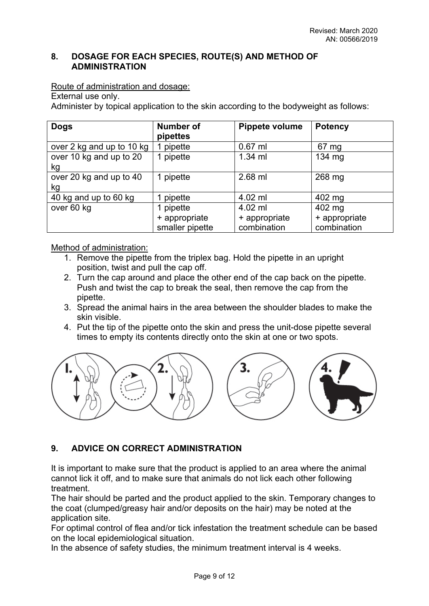## **8. DOSAGE FOR EACH SPECIES, ROUTE(S) AND METHOD OF ADMINISTRATION**

Route of administration and dosage:

External use only.

Administer by topical application to the skin according to the bodyweight as follows:

| <b>Dogs</b>                   | <b>Number of</b><br>pipettes     | Pippete volume               | <b>Potency</b>               |
|-------------------------------|----------------------------------|------------------------------|------------------------------|
| over 2 kg and up to 10 kg     | 1 pipette                        | $0.67$ ml                    | 67 mg                        |
| over 10 kg and up to 20<br>kg | 1 pipette                        | $1.34$ ml                    | 134 mg                       |
| over 20 kg and up to 40<br>kg | 1 pipette                        | 2.68 ml                      | 268 mg                       |
| 40 kg and up to 60 kg         | pipette                          | $4.02$ ml                    | 402 mg                       |
| over 60 kg                    | 1 pipette                        | 4.02 ml                      | 402 mg                       |
|                               | + appropriate<br>smaller pipette | + appropriate<br>combination | + appropriate<br>combination |

Method of administration:

- 1. Remove the pipette from the triplex bag. Hold the pipette in an upright position, twist and pull the cap off.
- 2. Turn the cap around and place the other end of the cap back on the pipette. Push and twist the cap to break the seal, then remove the cap from the pipette.
- 3. Spread the animal hairs in the area between the shoulder blades to make the skin visible.
- 4. Put the tip of the pipette onto the skin and press the unit-dose pipette several times to empty its contents directly onto the skin at one or two spots.



# **9. ADVICE ON CORRECT ADMINISTRATION**

It is important to make sure that the product is applied to an area where the animal cannot lick it off, and to make sure that animals do not lick each other following treatment.

The hair should be parted and the product applied to the skin. Temporary changes to the coat (clumped/greasy hair and/or deposits on the hair) may be noted at the application site.

For optimal control of flea and/or tick infestation the treatment schedule can be based on the local epidemiological situation.

In the absence of safety studies, the minimum treatment interval is 4 weeks.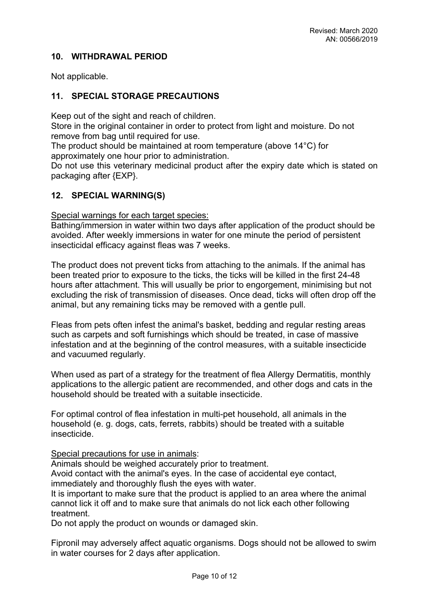## **10. WITHDRAWAL PERIOD**

Not applicable.

## **11. SPECIAL STORAGE PRECAUTIONS**

Keep out of the sight and reach of children.

Store in the original container in order to protect from light and moisture. Do not remove from bag until required for use.

The product should be maintained at room temperature (above 14°C) for approximately one hour prior to administration.

Do not use this veterinary medicinal product after the expiry date which is stated on packaging after {EXP}.

#### **12. SPECIAL WARNING(S)**

Special warnings for each target species:

Bathing/immersion in water within two days after application of the product should be avoided. After weekly immersions in water for one minute the period of persistent insecticidal efficacy against fleas was 7 weeks.

The product does not prevent ticks from attaching to the animals. If the animal has been treated prior to exposure to the ticks, the ticks will be killed in the first 24-48 hours after attachment. This will usually be prior to engorgement, minimising but not excluding the risk of transmission of diseases. Once dead, ticks will often drop off the animal, but any remaining ticks may be removed with a gentle pull.

Fleas from pets often infest the animal's basket, bedding and regular resting areas such as carpets and soft furnishings which should be treated, in case of massive infestation and at the beginning of the control measures, with a suitable insecticide and vacuumed regularly.

When used as part of a strategy for the treatment of flea Allergy Dermatitis, monthly applications to the allergic patient are recommended, and other dogs and cats in the household should be treated with a suitable insecticide.

For optimal control of flea infestation in multi-pet household, all animals in the household (e. g. dogs, cats, ferrets, rabbits) should be treated with a suitable insecticide.

Special precautions for use in animals:

Animals should be weighed accurately prior to treatment.

Avoid contact with the animal's eyes. In the case of accidental eye contact, immediately and thoroughly flush the eyes with water.

It is important to make sure that the product is applied to an area where the animal cannot lick it off and to make sure that animals do not lick each other following treatment.

Do not apply the product on wounds or damaged skin.

Fipronil may adversely affect aquatic organisms. Dogs should not be allowed to swim in water courses for 2 days after application.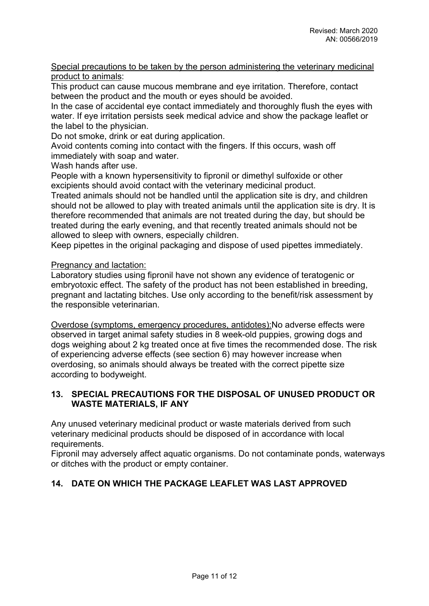#### Special precautions to be taken by the person administering the veterinary medicinal product to animals:

This product can cause mucous membrane and eye irritation. Therefore, contact between the product and the mouth or eyes should be avoided.

In the case of accidental eye contact immediately and thoroughly flush the eyes with water. If eye irritation persists seek medical advice and show the package leaflet or the label to the physician.

Do not smoke, drink or eat during application.

Avoid contents coming into contact with the fingers. If this occurs, wash off immediately with soap and water.

Wash hands after use.

People with a known hypersensitivity to fipronil or dimethyl sulfoxide or other excipients should avoid contact with the veterinary medicinal product.

Treated animals should not be handled until the application site is dry, and children should not be allowed to play with treated animals until the application site is dry. It is therefore recommended that animals are not treated during the day, but should be treated during the early evening, and that recently treated animals should not be allowed to sleep with owners, especially children.

Keep pipettes in the original packaging and dispose of used pipettes immediately.

Pregnancy and lactation:

Laboratory studies using fipronil have not shown any evidence of teratogenic or embryotoxic effect. The safety of the product has not been established in breeding, pregnant and lactating bitches. Use only according to the benefit/risk assessment by the responsible veterinarian.

Overdose (symptoms, emergency procedures, antidotes):No adverse effects were observed in target animal safety studies in 8 week-old puppies, growing dogs and dogs weighing about 2 kg treated once at five times the recommended dose. The risk of experiencing adverse effects (see section 6) may however increase when overdosing, so animals should always be treated with the correct pipette size according to bodyweight.

## **13. SPECIAL PRECAUTIONS FOR THE DISPOSAL OF UNUSED PRODUCT OR WASTE MATERIALS, IF ANY**

Any unused veterinary medicinal product or waste materials derived from such veterinary medicinal products should be disposed of in accordance with local requirements.

Fipronil may adversely affect aquatic organisms. Do not contaminate ponds, waterways or ditches with the product or empty container.

# **14. DATE ON WHICH THE PACKAGE LEAFLET WAS LAST APPROVED**